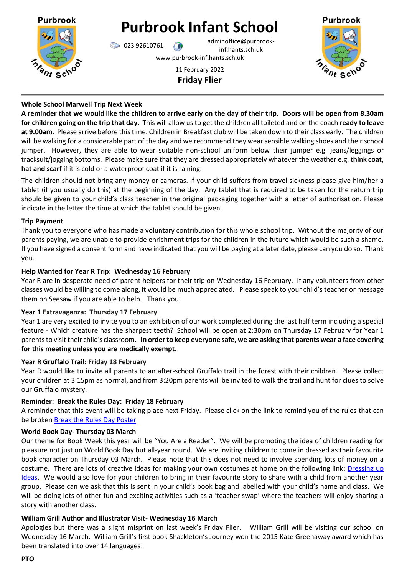

# **Purbrook Infant School**

023 92610761 adminoffice@purbrookinf.hants.sch.uk www.purbrook-inf.hants.sch.uk

11 February 2022

**Friday Flier**



# **Whole School Marwell Trip Next Week**

**A reminder that we would like the children to arrive early on the day of their trip. Doors will be open from 8.30am for children going on the trip that day.** This will allow us to get the children all toileted and on the coach **ready to leave at 9.00am**. Please arrive before this time. Children in Breakfast club will be taken down to their class early. The children will be walking for a considerable part of the day and we recommend they wear sensible walking shoes and their school jumper. However, they are able to wear suitable non-school uniform below their jumper e.g. jeans/leggings or tracksuit/jogging bottoms. Please make sure that they are dressed appropriately whatever the weather e.g. **think coat, hat and scarf** if it is cold or a waterproof coat if it is raining.

The children should not bring any money or cameras. If your child suffers from travel sickness please give him/her a tablet (if you usually do this) at the beginning of the day. Any tablet that is required to be taken for the return trip should be given to your child's class teacher in the original packaging together with a letter of authorisation. Please indicate in the letter the time at which the tablet should be given.

## **Trip Payment**

Thank you to everyone who has made a voluntary contribution for this whole school trip. Without the majority of our parents paying, we are unable to provide enrichment trips for the children in the future which would be such a shame. If you have signed a consent form and have indicated that you will be paying at a later date, please can you do so. Thank you.

## **Help Wanted for Year R Trip: Wednesday 16 February**

Year R are in desperate need of parent helpers for their trip on Wednesday 16 February. If any volunteers from other classes would be willing to come along, it would be much appreciated**.** Please speak to your child's teacher or message them on Seesaw if you are able to help. Thank you.

## **Year 1 Extravaganza: Thursday 17 February**

Year 1 are very excited to invite you to an exhibition of our work completed during the last half term including a special feature - Which creature has the sharpest teeth? School will be open at 2:30pm on Thursday 17 February for Year 1 parents to visit their child's classroom. **In order to keep everyone safe, we are asking that parents wear a face covering for this meeting unless you are medically exempt.**

# **Year R Gruffalo Trail: Friday 18 February**

Year R would like to invite all parents to an after-school Gruffalo trail in the forest with their children. Please collect your children at 3:15pm as normal, and from 3:20pm parents will be invited to walk the trail and hunt for clues to solve our Gruffalo mystery.

# **Reminder: Break the Rules Day: Friday 18 February**

A reminder that this event will be taking place next Friday. Please click on the link to remind you of the rules that can be broken [Break the Rules Day Poster](https://www.purbrook-inf.hants.sch.uk/wp-content/uploads/2022/02/break-the-rules-day-2-LOW-EDIT.pdf)

# **World Book Day- Thursday 03 March**

Our theme for Book Week this year will be "You Are a Reader". We will be promoting the idea of children reading for pleasure not just on World Book Day but all-year round. We are inviting children to come in dressed as their favourite book character on Thursday 03 March. Please note that this does not need to involve spending lots of money on a costume. There are lots of creative ideas for making your own costumes at home on the following link: [Dressing up](https://www.worldbookday.com/dressing-up-ideas/)  [Ideas.](https://www.worldbookday.com/dressing-up-ideas/) We would also love for your children to bring in their favourite story to share with a child from another year group. Please can we ask that this is sent in your child's book bag and labelled with your child's name and class. We will be doing lots of other fun and exciting activities such as a 'teacher swap' where the teachers will enjoy sharing a story with another class.

# **William Grill Author and Illustrator Visit- Wednesday 16 March**

Apologies but there was a slight misprint on last week's Friday Flier. William Grill will be visiting our school on Wednesday 16 March. William Grill's first book Shackleton's Journey won the 2015 Kate Greenaway award which has been translated into over 14 languages!